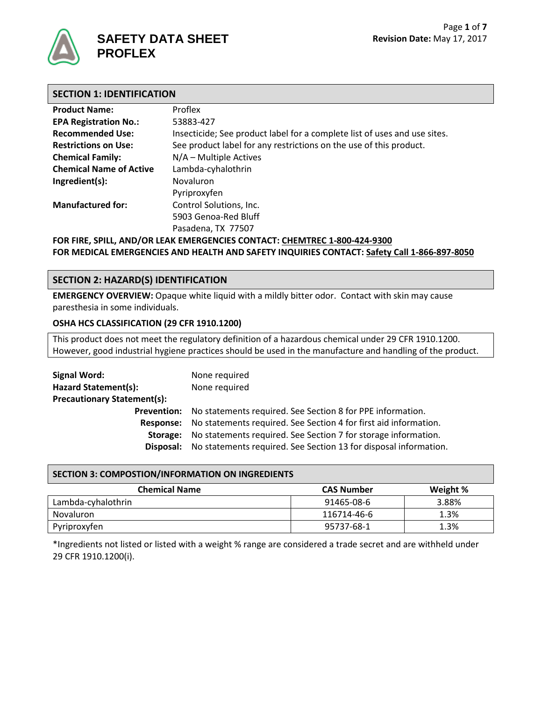

## **SAFETY DATA SHEET PROFLEX**

## **SECTION 1: IDENTIFICATION**

| <b>Product Name:</b>                                                      | Proflex                                                                   |  |
|---------------------------------------------------------------------------|---------------------------------------------------------------------------|--|
| <b>EPA Registration No.:</b>                                              | 53883-427                                                                 |  |
| <b>Recommended Use:</b>                                                   | Insecticide; See product label for a complete list of uses and use sites. |  |
| <b>Restrictions on Use:</b>                                               | See product label for any restrictions on the use of this product.        |  |
| <b>Chemical Family:</b>                                                   | $N/A$ – Multiple Actives                                                  |  |
| <b>Chemical Name of Active</b>                                            | Lambda-cyhalothrin                                                        |  |
| Ingredient(s):                                                            | Novaluron                                                                 |  |
|                                                                           | Pyriproxyfen                                                              |  |
| <b>Manufactured for:</b>                                                  | Control Solutions, Inc.                                                   |  |
|                                                                           | 5903 Genoa-Red Bluff                                                      |  |
|                                                                           | Pasadena, TX 77507                                                        |  |
| FOR FIRE, SPILL, AND/OR LEAK EMERGENCIES CONTACT: CHEMTREC 1-800-424-9300 |                                                                           |  |

**FOR MEDICAL EMERGENCIES AND HEALTH AND SAFETY INQUIRIES CONTACT: Safety Call 1-866-897-8050**

## **SECTION 2: HAZARD(S) IDENTIFICATION**

**EMERGENCY OVERVIEW:** Opaque white liquid with a mildly bitter odor. Contact with skin may cause paresthesia in some individuals.

### **OSHA HCS CLASSIFICATION (29 CFR 1910.1200)**

This product does not meet the regulatory definition of a hazardous chemical under 29 CFR 1910.1200. However, good industrial hygiene practices should be used in the manufacture and handling of the product.

| <b>Signal Word:</b>                | None required                                                                 |
|------------------------------------|-------------------------------------------------------------------------------|
| Hazard Statement(s):               | None required                                                                 |
| <b>Precautionary Statement(s):</b> |                                                                               |
|                                    | <b>Prevention:</b> No statements required. See Section 8 for PPE information. |
| Response:                          | No statements required. See Section 4 for first aid information.              |
| Storage:                           | No statements required. See Section 7 for storage information.                |
| Disposal:                          | No statements required. See Section 13 for disposal information.              |
|                                    |                                                                               |

#### **SECTION 3: COMPOSTION/INFORMATION ON INGREDIENTS**

| <b>Chemical Name</b> | <b>CAS Number</b> | Weight % |
|----------------------|-------------------|----------|
| Lambda-cyhalothrin   | 91465-08-6        | 3.88%    |
| Novaluron            | 116714-46-6       | 1.3%     |
| Pyriproxyfen         | 95737-68-1        | 1.3%     |

\*Ingredients not listed or listed with a weight % range are considered a trade secret and are withheld under 29 CFR 1910.1200(i).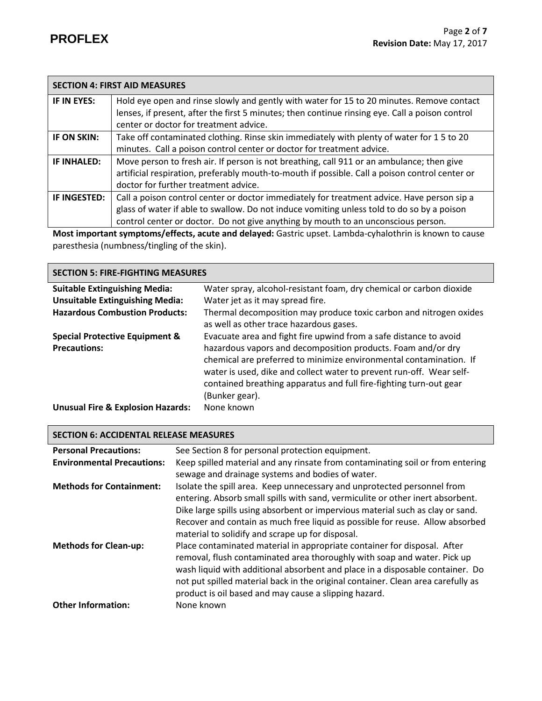|              | <b>SECTION 4: FIRST AID MEASURES</b>                                                                   |
|--------------|--------------------------------------------------------------------------------------------------------|
| IF IN EYES:  | Hold eye open and rinse slowly and gently with water for 15 to 20 minutes. Remove contact              |
|              | lenses, if present, after the first 5 minutes; then continue rinsing eye. Call a poison control        |
|              | center or doctor for treatment advice.                                                                 |
| IF ON SKIN:  | Take off contaminated clothing. Rinse skin immediately with plenty of water for 15 to 20               |
|              | minutes. Call a poison control center or doctor for treatment advice.                                  |
| IF INHALED:  | Move person to fresh air. If person is not breathing, call 911 or an ambulance; then give              |
|              | artificial respiration, preferably mouth-to-mouth if possible. Call a poison control center or         |
|              | doctor for further treatment advice.                                                                   |
| IF INGESTED: | Call a poison control center or doctor immediately for treatment advice. Have person sip a             |
|              | glass of water if able to swallow. Do not induce vomiting unless told to do so by a poison             |
|              | control center or doctor. Do not give anything by mouth to an unconscious person.                      |
|              | Most important symptoms/offects, asyte and delayed: Castric upset Lambda sybalothrip is known to sause |

**Most important symptoms/effects, acute and delayed:** Gastric upset. Lambda-cyhalothrin is known to cause paresthesia (numbness/tingling of the skin).

| <b>SECTION 5: FIRE-FIGHTING MEASURES</b>     |                                                                                                                                                                                                                                                                                                    |  |
|----------------------------------------------|----------------------------------------------------------------------------------------------------------------------------------------------------------------------------------------------------------------------------------------------------------------------------------------------------|--|
| <b>Suitable Extinguishing Media:</b>         | Water spray, alcohol-resistant foam, dry chemical or carbon dioxide                                                                                                                                                                                                                                |  |
| <b>Unsuitable Extinguishing Media:</b>       | Water jet as it may spread fire.                                                                                                                                                                                                                                                                   |  |
| <b>Hazardous Combustion Products:</b>        | Thermal decomposition may produce toxic carbon and nitrogen oxides<br>as well as other trace hazardous gases.                                                                                                                                                                                      |  |
| <b>Special Protective Equipment &amp;</b>    | Evacuate area and fight fire upwind from a safe distance to avoid                                                                                                                                                                                                                                  |  |
| <b>Precautions:</b>                          | hazardous vapors and decomposition products. Foam and/or dry<br>chemical are preferred to minimize environmental contamination. If<br>water is used, dike and collect water to prevent run-off. Wear self-<br>contained breathing apparatus and full fire-fighting turn-out gear<br>(Bunker gear). |  |
| <b>Unusual Fire &amp; Explosion Hazards:</b> | None known                                                                                                                                                                                                                                                                                         |  |

| <b>SECTION 6: ACCIDENTAL RELEASE MEASURES</b> |                                                                                                                                                                                                                                                                                                                                                                                    |  |
|-----------------------------------------------|------------------------------------------------------------------------------------------------------------------------------------------------------------------------------------------------------------------------------------------------------------------------------------------------------------------------------------------------------------------------------------|--|
| <b>Personal Precautions:</b>                  | See Section 8 for personal protection equipment.                                                                                                                                                                                                                                                                                                                                   |  |
| <b>Environmental Precautions:</b>             | Keep spilled material and any rinsate from contaminating soil or from entering                                                                                                                                                                                                                                                                                                     |  |
|                                               | sewage and drainage systems and bodies of water.                                                                                                                                                                                                                                                                                                                                   |  |
| <b>Methods for Containment:</b>               | Isolate the spill area. Keep unnecessary and unprotected personnel from<br>entering. Absorb small spills with sand, vermiculite or other inert absorbent.                                                                                                                                                                                                                          |  |
|                                               | Dike large spills using absorbent or impervious material such as clay or sand.<br>Recover and contain as much free liquid as possible for reuse. Allow absorbed<br>material to solidify and scrape up for disposal.                                                                                                                                                                |  |
| <b>Methods for Clean-up:</b>                  | Place contaminated material in appropriate container for disposal. After<br>removal, flush contaminated area thoroughly with soap and water. Pick up<br>wash liquid with additional absorbent and place in a disposable container. Do<br>not put spilled material back in the original container. Clean area carefully as<br>product is oil based and may cause a slipping hazard. |  |
| <b>Other Information:</b>                     | None known                                                                                                                                                                                                                                                                                                                                                                         |  |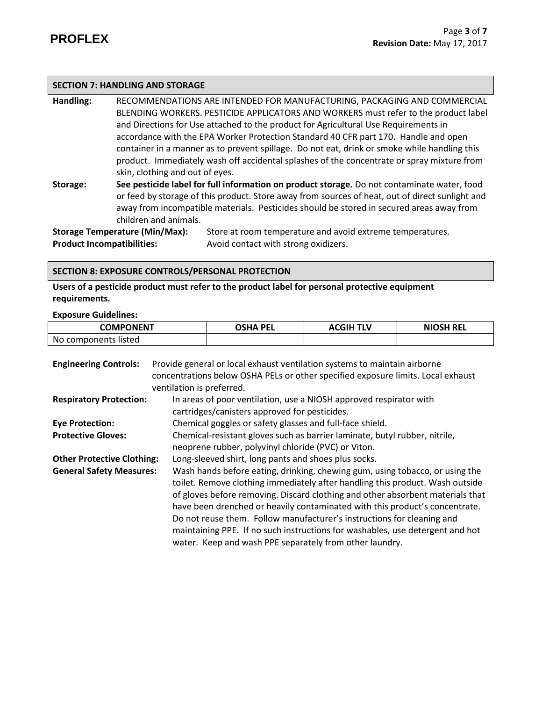### **SECTION 7: HANDLING AND STORAGE**

**Handling:** RECOMMENDATIONS ARE INTENDED FOR MANUFACTURING, PACKAGING AND COMMERCIAL BLENDING WORKERS. PESTICIDE APPLICATORS AND WORKERS must refer to the product label and Directions for Use attached to the product for Agricultural Use Requirements in accordance with the EPA Worker Protection Standard 40 CFR part 170.Handle and open container in a manner as to prevent spillage. Do not eat, drink or smoke while handling this product. Immediately wash off accidental splashes of the concentrate or spray mixture from skin, clothing and out of eyes.

**Storage: See pesticide label for full information on product storage.** Do not contaminate water, food or feed by storage of this product. Store away from sources of heat, out of direct sunlight and away from incompatible materials. Pesticides should be stored in secured areas away from children and animals.

**Product Incompatibilities:** Avoid contact with strong oxidizers.

**Storage Temperature (Min/Max):** Store at room temperature and avoid extreme temperatures.

#### **SECTION 8: EXPOSURE CONTROLS/PERSONAL PROTECTION**

**Users of a pesticide product must refer to the product label for personal protective equipment requirements.**

**Exposure Guidelines:**

| <b>COMPONENT</b>     | OSHA PEI | <b>ACGIH TLV</b> | <b>NIOSH REL</b> |
|----------------------|----------|------------------|------------------|
| No components listed |          |                  |                  |

| <b>Engineering Controls:</b>      | Provide general or local exhaust ventilation systems to maintain airborne        |  |  |
|-----------------------------------|----------------------------------------------------------------------------------|--|--|
|                                   | concentrations below OSHA PELs or other specified exposure limits. Local exhaust |  |  |
|                                   | ventilation is preferred.                                                        |  |  |
| <b>Respiratory Protection:</b>    | In areas of poor ventilation, use a NIOSH approved respirator with               |  |  |
|                                   | cartridges/canisters approved for pesticides.                                    |  |  |
| <b>Eye Protection:</b>            | Chemical goggles or safety glasses and full-face shield.                         |  |  |
| <b>Protective Gloves:</b>         | Chemical-resistant gloves such as barrier laminate, butyl rubber, nitrile,       |  |  |
|                                   | neoprene rubber, polyvinyl chloride (PVC) or Viton.                              |  |  |
| <b>Other Protective Clothing:</b> | Long-sleeved shirt, long pants and shoes plus socks.                             |  |  |
| <b>General Safety Measures:</b>   | Wash hands before eating, drinking, chewing gum, using tobacco, or using the     |  |  |
|                                   | toilet. Remove clothing immediately after handling this product. Wash outside    |  |  |
|                                   | of gloves before removing. Discard clothing and other absorbent materials that   |  |  |
|                                   | have been drenched or heavily contaminated with this product's concentrate.      |  |  |
|                                   | Do not reuse them. Follow manufacturer's instructions for cleaning and           |  |  |
|                                   | maintaining PPE. If no such instructions for washables, use detergent and hot    |  |  |
|                                   | water. Keep and wash PPE separately from other laundry.                          |  |  |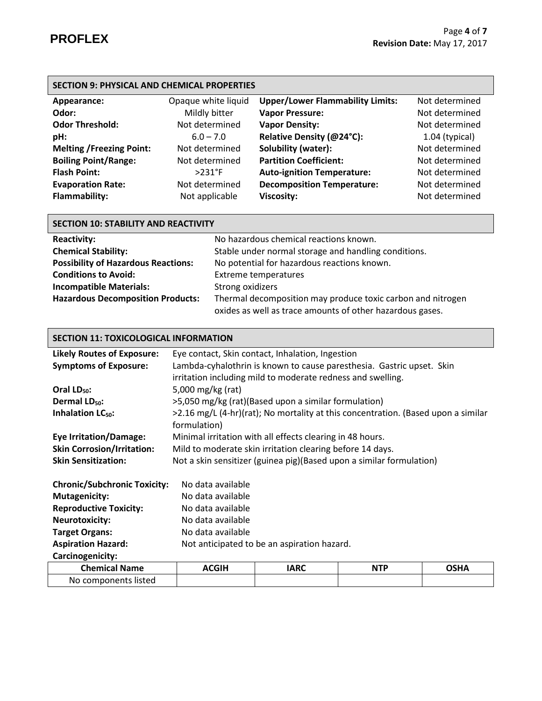| <b>SECTION 9: PHYSICAL AND CHEMICAL PROPERTIES</b> |                     |                                         |                  |
|----------------------------------------------------|---------------------|-----------------------------------------|------------------|
| Appearance:                                        | Opaque white liquid | <b>Upper/Lower Flammability Limits:</b> | Not determined   |
| Odor:                                              | Mildly bitter       | <b>Vapor Pressure:</b>                  | Not determined   |
| <b>Odor Threshold:</b>                             | Not determined      | <b>Vapor Density:</b>                   | Not determined   |
| pH:                                                | $6.0 - 7.0$         | Relative Density (@24°C):               | $1.04$ (typical) |
| <b>Melting /Freezing Point:</b>                    | Not determined      | Solubility (water):                     | Not determined   |
| <b>Boiling Point/Range:</b>                        | Not determined      | <b>Partition Coefficient:</b>           | Not determined   |
| <b>Flash Point:</b>                                | $>231^{\circ}F$     | <b>Auto-ignition Temperature:</b>       | Not determined   |
| <b>Evaporation Rate:</b>                           | Not determined      | <b>Decomposition Temperature:</b>       | Not determined   |
| <b>Flammability:</b>                               | Not applicable      | <b>Viscosity:</b>                       | Not determined   |

| <b>SECTION 10: STABILITY AND REACTIVITY</b>                  |                                                             |  |
|--------------------------------------------------------------|-------------------------------------------------------------|--|
| No hazardous chemical reactions known.<br><b>Reactivity:</b> |                                                             |  |
| <b>Chemical Stability:</b>                                   | Stable under normal storage and handling conditions.        |  |
| <b>Possibility of Hazardous Reactions:</b>                   | No potential for hazardous reactions known.                 |  |
| <b>Conditions to Avoid:</b>                                  | <b>Extreme temperatures</b>                                 |  |
| <b>Incompatible Materials:</b>                               | Strong oxidizers                                            |  |
| <b>Hazardous Decomposition Products:</b>                     | Thermal decomposition may produce toxic carbon and nitrogen |  |
|                                                              | oxides as well as trace amounts of other hazardous gases.   |  |

# **SECTION 11: TOXICOLOGICAL INFORMATION**

| <b>Likely Routes of Exposure:</b>   | Eye contact, Skin contact, Inhalation, Ingestion                      |                                                                                   |            |             |
|-------------------------------------|-----------------------------------------------------------------------|-----------------------------------------------------------------------------------|------------|-------------|
| <b>Symptoms of Exposure:</b>        | Lambda-cyhalothrin is known to cause paresthesia. Gastric upset. Skin |                                                                                   |            |             |
|                                     |                                                                       | irritation including mild to moderate redness and swelling.                       |            |             |
| Oral LD <sub>50</sub> :             | 5,000 mg/kg (rat)                                                     |                                                                                   |            |             |
| Dermal LD <sub>50</sub> :           |                                                                       | >5,050 mg/kg (rat)(Based upon a similar formulation)                              |            |             |
| Inhalation LC <sub>50</sub> :       |                                                                       | >2.16 mg/L (4-hr)(rat); No mortality at this concentration. (Based upon a similar |            |             |
|                                     | formulation)                                                          |                                                                                   |            |             |
| <b>Eye Irritation/Damage:</b>       |                                                                       | Minimal irritation with all effects clearing in 48 hours.                         |            |             |
| <b>Skin Corrosion/Irritation:</b>   |                                                                       | Mild to moderate skin irritation clearing before 14 days.                         |            |             |
| <b>Skin Sensitization:</b>          | Not a skin sensitizer (guinea pig)(Based upon a similar formulation)  |                                                                                   |            |             |
|                                     |                                                                       |                                                                                   |            |             |
| <b>Chronic/Subchronic Toxicity:</b> | No data available                                                     |                                                                                   |            |             |
| <b>Mutagenicity:</b>                | No data available                                                     |                                                                                   |            |             |
| <b>Reproductive Toxicity:</b>       | No data available                                                     |                                                                                   |            |             |
| <b>Neurotoxicity:</b>               | No data available                                                     |                                                                                   |            |             |
| <b>Target Organs:</b>               | No data available                                                     |                                                                                   |            |             |
| <b>Aspiration Hazard:</b>           |                                                                       | Not anticipated to be an aspiration hazard.                                       |            |             |
| Carcinogenicity:                    |                                                                       |                                                                                   |            |             |
| <b>Chemical Name</b>                | <b>ACGIH</b>                                                          | <b>IARC</b>                                                                       | <b>NTP</b> | <b>OSHA</b> |
| No components listed                |                                                                       |                                                                                   |            |             |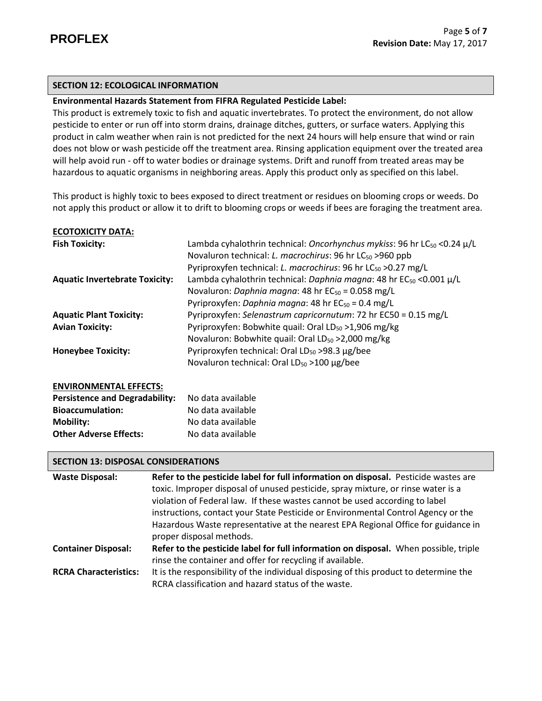## **SECTION 12: ECOLOGICAL INFORMATION**

## **Environmental Hazards Statement from FIFRA Regulated Pesticide Label:**

This product is extremely toxic to fish and aquatic invertebrates. To protect the environment, do not allow pesticide to enter or run off into storm drains, drainage ditches, gutters, or surface waters. Applying this product in calm weather when rain is not predicted for the next 24 hours will help ensure that wind or rain does not blow or wash pesticide off the treatment area. Rinsing application equipment over the treated area will help avoid run - off to water bodies or drainage systems. Drift and runoff from treated areas may be hazardous to aquatic organisms in neighboring areas. Apply this product only as specified on this label.

This product is highly toxic to bees exposed to direct treatment or residues on blooming crops or weeds. Do not apply this product or allow it to drift to blooming crops or weeds if bees are foraging the treatment area.

| <b>ECOTOXICITY DATA:</b>              |                                                                                                                                                                                                                                             |
|---------------------------------------|---------------------------------------------------------------------------------------------------------------------------------------------------------------------------------------------------------------------------------------------|
| <b>Fish Toxicity:</b>                 | Lambda cyhalothrin technical: Oncorhynchus mykiss: 96 hr LC <sub>50</sub> < 0.24 µ/L<br>Novaluron technical: L. macrochirus: 96 hr LC <sub>50</sub> > 960 ppb<br>Pyriproxyfen technical: L. macrochirus: 96 hr LC <sub>50</sub> > 0.27 mg/L |
| <b>Aquatic Invertebrate Toxicity:</b> | Lambda cyhalothrin technical: Daphnia magna: 48 hr $EC_{50}$ <0.001 $\mu/L$<br>Novaluron: Daphnia magna: 48 hr EC <sub>50</sub> = 0.058 mg/L<br>Pyriproxyfen: Daphnia magna: 48 hr EC <sub>50</sub> = 0.4 mg/L                              |
| <b>Aquatic Plant Toxicity:</b>        | Pyriproxyfen: Selenastrum capricornutum: 72 hr EC50 = 0.15 mg/L                                                                                                                                                                             |
| <b>Avian Toxicity:</b>                | Pyriproxyfen: Bobwhite quail: Oral LD <sub>50</sub> > 1,906 mg/kg<br>Novaluron: Bobwhite quail: Oral LD <sub>50</sub> > 2,000 mg/kg                                                                                                         |
| <b>Honeybee Toxicity:</b>             | Pyriproxyfen technical: Oral $LD_{50} > 98.3 \mu g/$ bee                                                                                                                                                                                    |
|                                       | Novaluron technical: Oral LD <sub>50</sub> > 100 μg/bee                                                                                                                                                                                     |
| <b>ENVIRONMENTAL EFFECTS:</b>         |                                                                                                                                                                                                                                             |
| <b>Persistence and Degradability:</b> | No data available                                                                                                                                                                                                                           |
| <b>Bioaccumulation:</b>               | No data available                                                                                                                                                                                                                           |
| <b>Mobility:</b>                      | No data available                                                                                                                                                                                                                           |

#### **SECTION 13: DISPOSAL CONSIDERATIONS**

**Other Adverse Effects:** No data available

| <b>Waste Disposal:</b>       | Refer to the pesticide label for full information on disposal. Pesticide wastes are   |
|------------------------------|---------------------------------------------------------------------------------------|
|                              | toxic. Improper disposal of unused pesticide, spray mixture, or rinse water is a      |
|                              | violation of Federal law. If these wastes cannot be used according to label           |
|                              | instructions, contact your State Pesticide or Environmental Control Agency or the     |
|                              | Hazardous Waste representative at the nearest EPA Regional Office for guidance in     |
|                              | proper disposal methods.                                                              |
| <b>Container Disposal:</b>   | Refer to the pesticide label for full information on disposal. When possible, triple  |
|                              | rinse the container and offer for recycling if available.                             |
| <b>RCRA Characteristics:</b> | It is the responsibility of the individual disposing of this product to determine the |
|                              | RCRA classification and hazard status of the waste.                                   |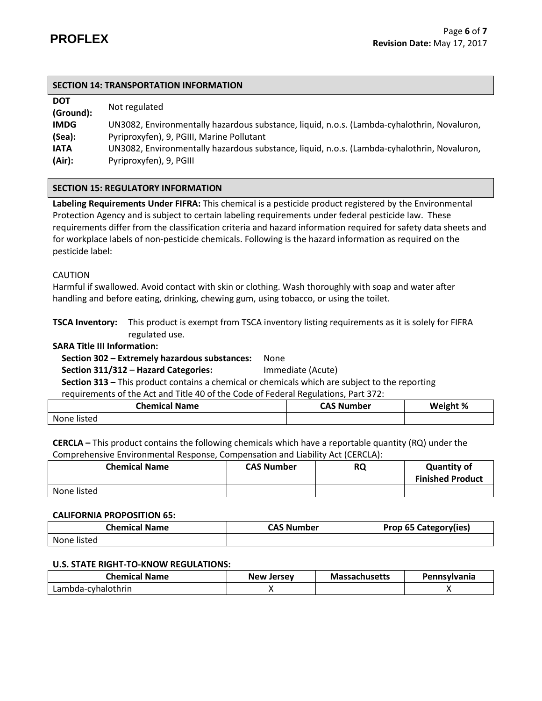| <b>DOT</b><br>(Ground): | Not regulated                                                                               |
|-------------------------|---------------------------------------------------------------------------------------------|
| <b>IMDG</b>             | UN3082, Environmentally hazardous substance, liquid, n.o.s. (Lambda-cyhalothrin, Novaluron, |
| (Sea):                  | Pyriproxyfen), 9, PGIII, Marine Pollutant                                                   |
| <b>IATA</b>             | UN3082, Environmentally hazardous substance, liquid, n.o.s. (Lambda-cyhalothrin, Novaluron, |
| (Air):                  | Pyriproxyfen), 9, PGIII                                                                     |

## **SECTION 15: REGULATORY INFORMATION**

**Labeling Requirements Under FIFRA:** This chemical is a pesticide product registered by the Environmental Protection Agency and is subject to certain labeling requirements under federal pesticide law. These requirements differ from the classification criteria and hazard information required for safety data sheets and for workplace labels of non-pesticide chemicals. Following is the hazard information as required on the pesticide label:

## CAUTION

Harmful if swallowed. Avoid contact with skin or clothing. Wash thoroughly with soap and water after handling and before eating, drinking, chewing gum, using tobacco, or using the toilet.

**TSCA Inventory:** This product is exempt from TSCA inventory listing requirements as it is solely for FIFRA regulated use.

#### **SARA Title III Information:**

## **Section 302 – Extremely hazardous substances:** None

 **Section 311/312** – **Hazard Categories:** Immediate (Acute)

 **Section 313 –** This product contains a chemical or chemicals which are subject to the reporting

requirements of the Act and Title 40 of the Code of Federal Regulations, Part 372:

| Chemical Name | <b>CAS Number</b> | Weight % |
|---------------|-------------------|----------|
| None listed   |                   |          |

**CERCLA –** This product contains the following chemicals which have a reportable quantity (RQ) under the Comprehensive Environmental Response, Compensation and Liability Act (CERCLA):

| <b>Chemical Name</b> | <b>CAS Number</b> | <b>RQ</b> | <b>Quantity of</b><br><b>Finished Product</b> |
|----------------------|-------------------|-----------|-----------------------------------------------|
| None listed          |                   |           |                                               |

#### **CALIFORNIA PROPOSITION 65:**

| <b>Chemical Name</b> | <b>CAS Number</b> | Prop 65 Category(ies) |
|----------------------|-------------------|-----------------------|
| None listed          |                   |                       |

#### **U.S. STATE RIGHT-TO-KNOW REGULATIONS:**

| <b>Chemical Name</b> | <b>New Jersey</b> | <b>Massachusetts</b> | <b>Pennsylvania</b> |
|----------------------|-------------------|----------------------|---------------------|
| Lambda-cyhalothrin   |                   |                      |                     |